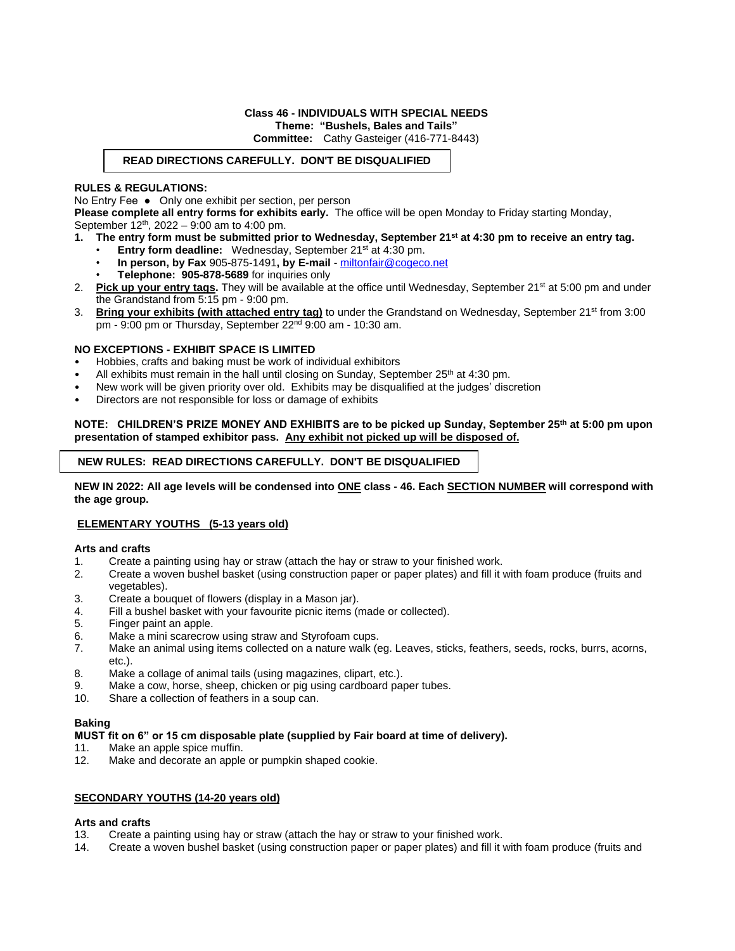# **Class 46 - INDIVIDUALS WITH SPECIAL NEEDS**

**Theme: "Bushels, Bales and Tails"**

**Committee:** Cathy Gasteiger (416-771-8443)

# **READ DIRECTIONS CAREFULLY. DON'T BE DISQUALIFIED**

# **RULES & REGULATIONS:**

No Entry Fee ● Only one exhibit per section, per person

**Please complete all entry forms for exhibits early.** The office will be open Monday to Friday starting Monday, September 12<sup>th</sup>, 2022 – 9:00 am to 4:00 pm.

- **1. The entry form must be submitted prior to Wednesday, September 21 st at 4:30 pm to receive an entry tag.**
	- **Entry form deadline:** Wednesday, September 21<sup>st</sup> at 4:30 pm.
	- **In person, by Fax** 905-875-1491**, by E-mail**  [miltonfair@cogeco.net](mailto:miltonfair@cogeco.net)
	- **Telephone: 905-878-5689** for inquiries only
- 2. **Pick up your entry tags.** They will be available at the office until Wednesday, September 21<sup>st</sup> at 5:00 pm and under the Grandstand from 5:15 pm - 9:00 pm.
- 3. **Bring your exhibits (with attached entry tag)** to under the Grandstand on Wednesday, September 21st from 3:00 pm - 9:00 pm or Thursday, September 22<sup>nd</sup> 9:00 am - 10:30 am.

# **NO EXCEPTIONS - EXHIBIT SPACE IS LIMITED**

- Hobbies, crafts and baking must be work of individual exhibitors
- All exhibits must remain in the hall until closing on Sunday, September 25<sup>th</sup> at 4:30 pm.
- New work will be given priority over old. Exhibits may be disqualified at the judges' discretion
- Directors are not responsible for loss or damage of exhibits

#### **NOTE: CHILDREN'S PRIZE MONEY AND EXHIBITS are to be picked up Sunday, September 25 th at 5:00 pm upon presentation of stamped exhibitor pass. Any exhibit not picked up will be disposed of.**

# **NEW RULES: READ DIRECTIONS CAREFULLY. DON'T BE DISQUALIFIED**

**NEW IN 2022: All age levels will be condensed into ONE class - 46. Each SECTION NUMBER will correspond with the age group.** 

# **ELEMENTARY YOUTHS (5-13 years old)**

#### **Arts and crafts**

- 1. Create a painting using hay or straw (attach the hay or straw to your finished work.
- 2. Create a woven bushel basket (using construction paper or paper plates) and fill it with foam produce (fruits and vegetables).
- 3. Create a bouquet of flowers (display in a Mason jar).
- 4. Fill a bushel basket with your favourite picnic items (made or collected).
- 5. Finger paint an apple.
- 6. Make a mini scarecrow using straw and Styrofoam cups.
- 7. Make an animal using items collected on a nature walk (eg. Leaves, sticks, feathers, seeds, rocks, burrs, acorns, etc.).
- 8. Make a collage of animal tails (using magazines, clipart, etc.).
- 9. Make a cow, horse, sheep, chicken or pig using cardboard paper tubes.
- 10. Share a collection of feathers in a soup can.

#### **Baking**

#### **MUST fit on 6" or 15 cm disposable plate (supplied by Fair board at time of delivery).**

- 11. Make an apple spice muffin.
- 12. Make and decorate an apple or pumpkin shaped cookie.

# **SECONDARY YOUTHS (14-20 years old)**

#### **Arts and crafts**

- 13. Create a painting using hay or straw (attach the hay or straw to your finished work.
- 14. Create a woven bushel basket (using construction paper or paper plates) and fill it with foam produce (fruits and